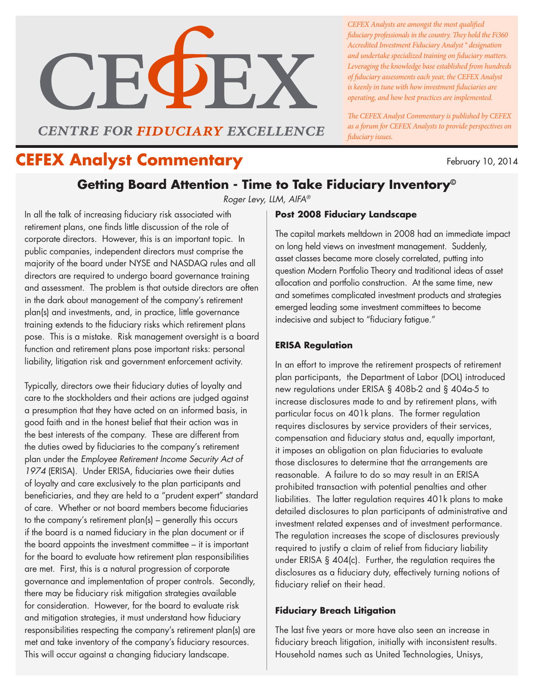

**CENTRE FOR FIDUCIARY EXCELLENCE** 

*CEFEX Analysts are amongst the most qualified fiduciary professionals in the country. They hold the Fi360 Accredited Investment Fiduciary Analyst ® designation and undertake specialized training on fiduciary matters. Leveraging the knowledge base established from hundreds of fiduciary assessments each year, the CEFEX Analyst is keenly in tune with how investment fiduciaries are operating, and how best practices are implemented.* 

*The CEFEX Analyst Commentary is published by CEFEX as a forum for CEFEX Analysts to provide perspectives on fiduciary issues.*

# February 10, 2014 **CEFEX Analyst Commentary**

# **Getting Board Attention - Time to Take Fiduciary Inventory©**

*Roger Levy, LLM, AIFA®*

In all the talk of increasing fiduciary risk associated with retirement plans, one finds little discussion of the role of corporate directors. However, this is an important topic. In public companies, independent directors must comprise the majority of the board under NYSE and NASDAQ rules and all directors are required to undergo board governance training and assessment. The problem is that outside directors are often in the dark about management of the company's retirement plan(s) and investments, and, in practice, little governance training extends to the fiduciary risks which retirement plans pose. This is a mistake. Risk management oversight is a board function and retirement plans pose important risks: personal liability, litigation risk and government enforcement activity.

Typically, directors owe their fiduciary duties of loyalty and care to the stockholders and their actions are judged against a presumption that they have acted on an informed basis, in good faith and in the honest belief that their action was in the best interests of the company. These are different from the duties owed by fiduciaries to the company's retirement plan under the *Employee Retirement Income Security Act of 1974* (ERISA). Under ERISA, fiduciaries owe their duties of loyalty and care exclusively to the plan participants and beneficiaries, and they are held to a "prudent expert" standard of care. Whether or not board members become fiduciaries to the company's retirement plan(s) – generally this occurs if the board is a named fiduciary in the plan document or if the board appoints the investment committee – it is important for the board to evaluate how retirement plan responsibilities are met. First, this is a natural progression of corporate governance and implementation of proper controls. Secondly, there may be fiduciary risk mitigation strategies available for consideration. However, for the board to evaluate risk and mitigation strategies, it must understand how fiduciary responsibilities respecting the company's retirement plan(s) are met and take inventory of the company's fiduciary resources. This will occur against a changing fiduciary landscape.

## **Post 2008 Fiduciary Landscape**

The capital markets meltdown in 2008 had an immediate impact on long held views on investment management. Suddenly, asset classes became more closely correlated, putting into question Modern Portfolio Theory and traditional ideas of asset allocation and portfolio construction. At the same time, new and sometimes complicated investment products and strategies emerged leading some investment committees to become indecisive and subject to "fiduciary fatigue."

# **ERISA Regulation**

In an effort to improve the retirement prospects of retirement plan participants, the Department of Labor (DOL) introduced new regulations under ERISA § 408b-2 and § 404a-5 to increase disclosures made to and by retirement plans, with particular focus on 401k plans. The former regulation requires disclosures by service providers of their services, compensation and fiduciary status and, equally important, it imposes an obligation on plan fiduciaries to evaluate those disclosures to determine that the arrangements are reasonable. A failure to do so may result in an ERISA prohibited transaction with potential penalties and other liabilities. The latter regulation requires 401k plans to make detailed disclosures to plan participants of administrative and investment related expenses and of investment performance. The regulation increases the scope of disclosures previously required to justify a claim of relief from fiduciary liability under ERISA § 404(c). Further, the regulation requires the disclosures as a fiduciary duty, effectively turning notions of fiduciary relief on their head.

## **Fiduciary Breach Litigation**

The last five years or more have also seen an increase in fiduciary breach litigation, initially with inconsistent results. Household names such as United Technologies, Unisys,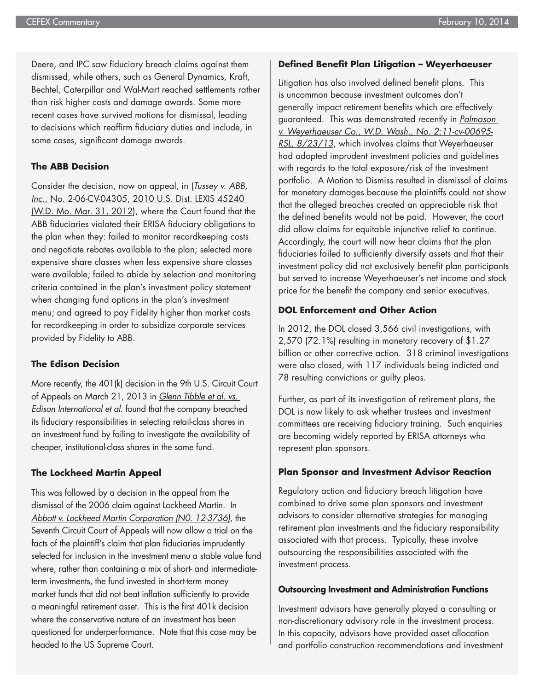Deere, and IPC saw fiduciary breach claims against them dismissed, while others, such as General Dynamics, Kraft, Bechtel, Caterpillar and Wal-Mart reached settlements rather than risk higher costs and damage awards. Some more recent cases have survived motions for dismissal, leading to decisions which reaffirm fiduciary duties and include, in some cases, significant damage awards.

#### **The ABB Decision**

Consider the decision, now on appeal, in (*Tussey v. ABB, Inc.*, No. 2-06-CV-04305, 2010 U.S. Dist. LEXIS 45240 (W.D. Mo. Mar. 31, 2012), where the Court found that the ABB fiduciaries violated their ERISA fiduciary obligations to the plan when they: failed to monitor recordkeeping costs and negotiate rebates available to the plan; selected more expensive share classes when less expensive share classes were available; failed to abide by selection and monitoring criteria contained in the plan's investment policy statement when changing fund options in the plan's investment menu; and agreed to pay Fidelity higher than market costs for recordkeeping in order to subsidize corporate services provided by Fidelity to ABB.

#### **The Edison Decision**

More recently, the 401(k) decision in the 9th U.S. Circuit Court of Appeals on March 21, 2013 in *Glenn Tibble et al. vs. Edison International et al*. found that the company breached its fiduciary responsibilities in selecting retail-class shares in an investment fund by failing to investigate the availability of cheaper, institutional-class shares in the same fund.

#### **The Lockheed Martin Appeal**

This was followed by a decision in the appeal from the dismissal of the 2006 claim against Lockheed Martin. In *Abbott v. Lockheed Martin Corporation (N0. 12-3736)*, the Seventh Circuit Court of Appeals will now allow a trial on the facts of the plaintiff's claim that plan fiduciaries imprudently selected for inclusion in the investment menu a stable value fund where, rather than containing a mix of short- and intermediateterm investments, the fund invested in short-term money market funds that did not beat inflation sufficiently to provide a meaningful retirement asset. This is the first 401k decision where the conservative nature of an investment has been questioned for underperformance. Note that this case may be headed to the US Supreme Court.

#### **Defined Benefit Plan Litigation – Weyerhaeuser**

Litigation has also involved defined benefit plans. This is uncommon because investment outcomes don't generally impact retirement benefits which are effectively guaranteed. This was demonstrated recently in *Palmason v. Weyerhaeuser Co., W.D. Wash., No. 2:11-cv-00695- RSL, 8/23/13*, which involves claims that Weyerhaeuser had adopted imprudent investment policies and guidelines with regards to the total exposure/risk of the investment portfolio. A Motion to Dismiss resulted in dismissal of claims for monetary damages because the plaintiffs could not show that the alleged breaches created an appreciable risk that the defined benefits would not be paid. However, the court did allow claims for equitable injunctive relief to continue. Accordingly, the court will now hear claims that the plan fiduciaries failed to sufficiently diversify assets and that their investment policy did not exclusively benefit plan participants but served to increase Weyerhaeuser's net income and stock price for the benefit the company and senior executives.

### **DOL Enforcement and Other Action**

In 2012, the DOL closed 3,566 civil investigations, with 2,570 (72.1%) resulting in monetary recovery of \$1.27 billion or other corrective action. 318 criminal investigations were also closed, with 117 individuals being indicted and 78 resulting convictions or guilty pleas.

Further, as part of its investigation of retirement plans, the DOL is now likely to ask whether trustees and investment committees are receiving fiduciary training. Such enquiries are becoming widely reported by ERISA attorneys who represent plan sponsors.

#### **Plan Sponsor and Investment Advisor Reaction**

Regulatory action and fiduciary breach litigation have combined to drive some plan sponsors and investment advisors to consider alternative strategies for managing retirement plan investments and the fiduciary responsibility associated with that process. Typically, these involve outsourcing the responsibilities associated with the investment process.

#### **Outsourcing Investment and Administration Functions**

Investment advisors have generally played a consulting or non-discretionary advisory role in the investment process. In this capacity, advisors have provided asset allocation and portfolio construction recommendations and investment